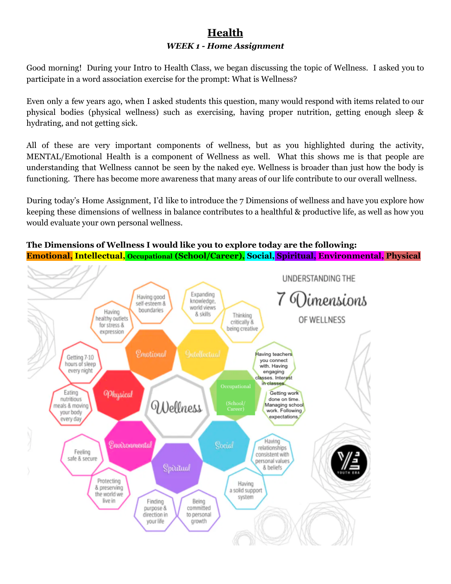# **Health** *WEEK 1 - Home Assignment*

Good morning! During your Intro to Health Class, we began discussing the topic of Wellness. I asked you to participate in a word association exercise for the prompt: What is Wellness?

Even only a few years ago, when I asked students this question, many would respond with items related to our physical bodies (physical wellness) such as exercising, having proper nutrition, getting enough sleep & hydrating, and not getting sick.

All of these are very important components of wellness, but as you highlighted during the activity, MENTAL/Emotional Health is a component of Wellness as well. What this shows me is that people are understanding that Wellness cannot be seen by the naked eye. Wellness is broader than just how the body is functioning. There has become more awareness that many areas of our life contribute to our overall wellness.

During today's Home Assignment, I'd like to introduce the 7 Dimensions of wellness and have you explore how keeping these dimensions of wellness in balance contributes to a healthful & productive life, as well as how you would evaluate your own personal wellness.

#### **The Dimensions of Wellness I would like you to explore today are the following: Emotional, Intellectual, Occupational (School/Career), Social, Spiritual, Environmental, Physical**

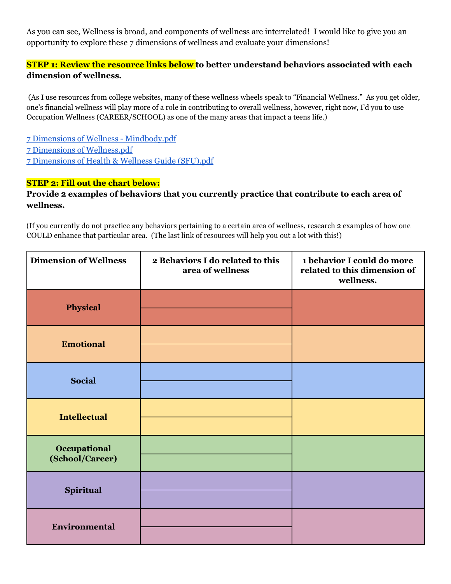As you can see, Wellness is broad, and components of wellness are interrelated! I would like to give you an opportunity to explore these 7 dimensions of wellness and evaluate your dimensions!

## **STEP 1: Review the resource links below to better understand behaviors associated with each dimension of wellness.**

(As I use resources from college websites, many of these wellness wheels speak to "Financial Wellness." As you get older, one's financial wellness will play more of a role in contributing to overall wellness, however, right now, I'd you to use Occupation Wellness (CAREER/SCHOOL) as one of the many areas that impact a teens life.)

7 Dimensions of Wellness - [Mindbody.pdf](https://drive.google.com/file/d/1lHBo5AWILt3CeHgNch-HEsXPmPLB22Ev/view?usp=sharing) 7 Dimensions of [Wellness.pdf](https://drive.google.com/file/d/0B5l4nTTJ_h6GeFpzQ05LZXpqWGtIbDQwNUZlWHFXZmpWbkJz/view?usp=sharing) 7 [Dimensions](https://drive.google.com/file/d/1ulklrT3wXiyL2PSqM3bk_UZlEGVLann_/view?usp=sharing) of Health & Wellness Guide (SFU).pdf

#### **STEP 2: Fill out the chart below:**

#### **Provide 2 examples of behaviors that you currently practice that contribute to each area of wellness.**

(If you currently do not practice any behaviors pertaining to a certain area of wellness, research 2 examples of how one COULD enhance that particular area. (The last link of resources will help you out a lot with this!)

| <b>Dimension of Wellness</b>    | 2 Behaviors I do related to this<br>area of wellness | 1 behavior I could do more<br>related to this dimension of<br>wellness. |  |  |
|---------------------------------|------------------------------------------------------|-------------------------------------------------------------------------|--|--|
| <b>Physical</b>                 |                                                      |                                                                         |  |  |
| <b>Emotional</b>                |                                                      |                                                                         |  |  |
| <b>Social</b>                   |                                                      |                                                                         |  |  |
| <b>Intellectual</b>             |                                                      |                                                                         |  |  |
| Occupational<br>(School/Career) |                                                      |                                                                         |  |  |
| Spiritual                       |                                                      |                                                                         |  |  |
| <b>Environmental</b>            |                                                      |                                                                         |  |  |